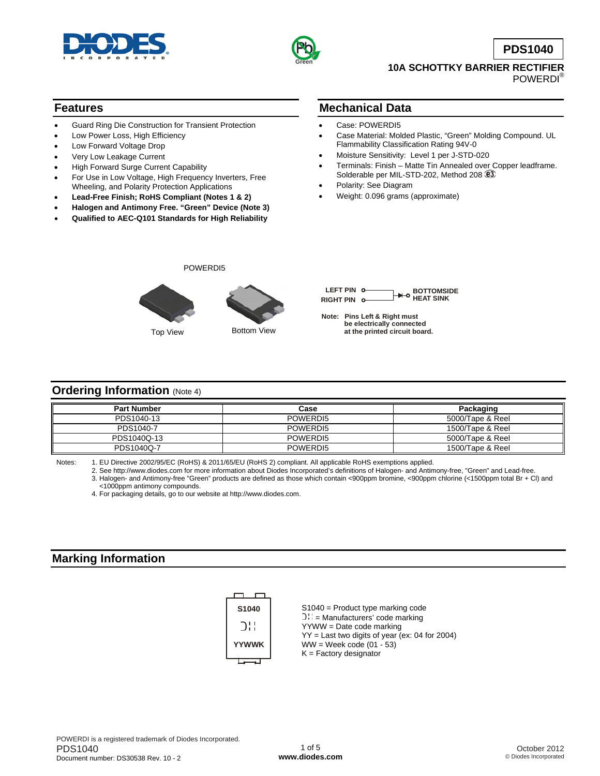



**PDS1040**

#### **10A SCHOTTKY BARRIER RECTIFIER**  POWERDI®

### **Features**

- Guard Ring Die Construction for Transient Protection
- Low Power Loss, High Efficiency
- Low Forward Voltage Drop
- Very Low Leakage Current
- High Forward Surge Current Capability
- For Use in Low Voltage, High Frequency Inverters, Free Wheeling, and Polarity Protection Applications
- **Lead-Free Finish; RoHS Compliant (Notes 1 & 2)**
- **Halogen and Antimony Free. "Green" Device (Note 3)**
- **Qualified to AEC-Q101 Standards for High Reliability**

### **Mechanical Data**

- Case: POWERDI5
- Case Material: Molded Plastic, "Green" Molding Compound. UL Flammability Classification Rating 94V-0
- Moisture Sensitivity: Level 1 per J-STD-020
- Terminals: Finish Matte Tin Annealed over Copper leadframe. Solderable per MIL-STD-202, Method 208 83
- Polarity: See Diagram
- Weight: 0.096 grams (approximate)



POWERDI5

| LEFT PIN 0- | __ <del>→</del> BOTTOMSIDE<br>__ <del>→</del> HEAT SINK |
|-------------|---------------------------------------------------------|
| RIGHT PIN 0 |                                                         |
|             |                                                         |

**Note: Pins Left & Right must be electrically connected at the printed circuit board.**

#### **Ordering Information** (Note 4)

| <b>Part Number</b> | Case     | Packaging        |
|--------------------|----------|------------------|
| PDS1040-13         | POWERDI5 | 5000/Tape & Reel |
| PDS1040-7          | POWERDI5 | 1500/Tape & Reel |
| PDS1040Q-13        | POWERDI5 | 5000/Tape & Reel |
| PDS1040Q-7         | POWERDI5 | 1500/Tape & Reel |

Notes: 1. EU Directive 2002/95/EC (RoHS) & 2011/65/EU (RoHS 2) compliant. All applicable RoHS exemptions applied.

 2. See [http://www.diodes.com fo](http://www.diodes.com)r more information about Diodes Incorporated's definitions of Halogen- and Antimony-free, "Green" and Lead-free. 3. Halogen- and Antimony-free "Green" products are defined as those which contain <900ppm bromine, <900ppm chlorine (<1500ppm total Br + Cl) and

<1000ppm antimony compounds.

4. For packaging details, go to our website at [http://www.diodes.com.](http://www.diodes.com)

### **Marking Information**



S1040 = Product type marking code  $DH =$  Manufacturers' code marking YYWW = Date code marking YY = Last two digits of year (ex: 04 for 2004)  $WW = Week code (01 - 53)$  $K =$  Factory designator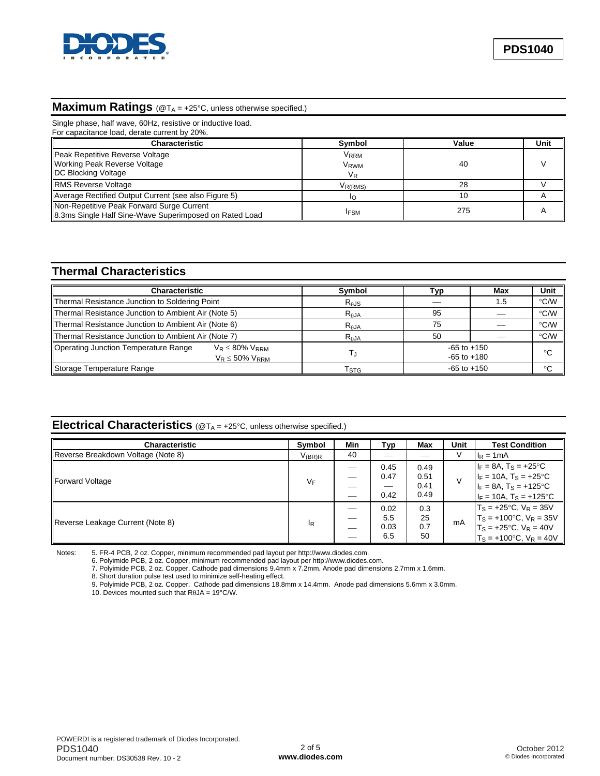

# **Maximum Ratings** (@TA = +25°C, unless otherwise specified.)

| Single phase, half wave, 60Hz, resistive or inductive load.<br>For capacitance load, derate current by 20%. |                                     |       |      |
|-------------------------------------------------------------------------------------------------------------|-------------------------------------|-------|------|
| Characteristic                                                                                              | Symbol                              | Value | Unit |
| Peak Repetitive Reverse Voltage<br><b>Working Peak Reverse Voltage</b><br>DC Blocking Voltage               | Vrrm<br>V <sub>RWM</sub><br>$V_{R}$ | 40    |      |
| <b>RMS Reverse Voltage</b>                                                                                  | V <sub>R(RMS)</sub>                 | 28    |      |
| Average Rectified Output Current (see also Figure 5)                                                        |                                     | 10    |      |
| Non-Repetitive Peak Forward Surge Current<br>8.3ms Single Half Sine-Wave Superimposed on Rated Load         | <b>IFSM</b>                         | 275   |      |

### **Thermal Characteristics**

| Characteristic                                                                            | Symbol          | Typ                                | Max | Unit         |
|-------------------------------------------------------------------------------------------|-----------------|------------------------------------|-----|--------------|
| Thermal Resistance Junction to Soldering Point                                            | $R_{\theta}$ JS |                                    | 1.5 | °C/W         |
| Thermal Resistance Junction to Ambient Air (Note 5)                                       | $R_{AJA}$       | 95                                 |     | °C/W         |
| Thermal Resistance Junction to Ambient Air (Note 6)                                       | $R_{\theta$ JA  | 75                                 |     | °C/W         |
| Thermal Resistance Junction to Ambient Air (Note 7)                                       | $R_{\theta$ JA  | 50                                 |     | °C/W         |
| Operating Junction Temperature Range<br>$V_R \leq 80\%$ $V_{RRM}$<br>$V_R \leq 50\%$ VRRM |                 | $-65$ to $+150$<br>$-65$ to $+180$ |     | $^{\circ}$ C |
| Storage Temperature Range                                                                 | Гsтg            | $-65$ to $+150$                    |     | °C           |

# **Electrical Characteristics** (@T<sub>A</sub> = +25°C, unless otherwise specified.)

| <b>Characteristic</b>              | Symbol               | Min | Typ  | Max  | Unit | <b>Test Condition</b>                |
|------------------------------------|----------------------|-----|------|------|------|--------------------------------------|
| Reverse Breakdown Voltage (Note 8) | $V_{(\mathsf{BR})R}$ | 40  |      |      |      | $I_R = 1mA$                          |
|                                    | VF                   |     | 0.45 | 0.49 |      | $I_F = 8A$ , $T_S = +25$ °C          |
| Forward Voltage                    |                      | --  | 0.47 | 0.51 |      | $I_F = 10A$ , T <sub>S</sub> = +25°C |
|                                    |                      |     |      | 0.41 |      | $I_F = 8A$ , $T_S = +125$ °C         |
|                                    |                      |     | 0.42 | 0.49 |      | $I_F = 10A$ , $T_S = +125$ °C        |
|                                    |                      |     | 0.02 | 0.3  |      | $T_S = +25$ °C, $V_R = 35V$          |
| Reverse Leakage Current (Note 8)   | IR                   |     | 5.5  | 25   | mA   | $T_S = +100$ °C, $V_R = 35V$         |
|                                    |                      |     | 0.03 | 0.7  |      | $T_S = +25$ °C, $V_R = 40V$          |
|                                    |                      |     | 6.5  | 50   |      | $T_S = +100$ °C, $V_R = 40V$         |

Notes: 5. FR-4 PCB, 2 oz. Copper, minimum recommended pad layout per [http://www.diodes.com.](http://www.diodes.com) 

6. Polyimide PCB, 2 oz. Copper, minimum recommended pad layout per [http://www.diodes.com.](http://www.diodes.com) 

7. Polyimide PCB, 2 oz. Copper. Cathode pad dimensions 9.4mm x 7.2mm. Anode pad dimensions 2.7mm x 1.6mm.

8. Short duration pulse test used to minimize self-heating effect.

9. Polyimide PCB, 2 oz. Copper. Cathode pad dimensions 18.8mm x 14.4mm. Anode pad dimensions 5.6mm x 3.0mm.

10. Devices mounted such that RθJA = 19°C/W.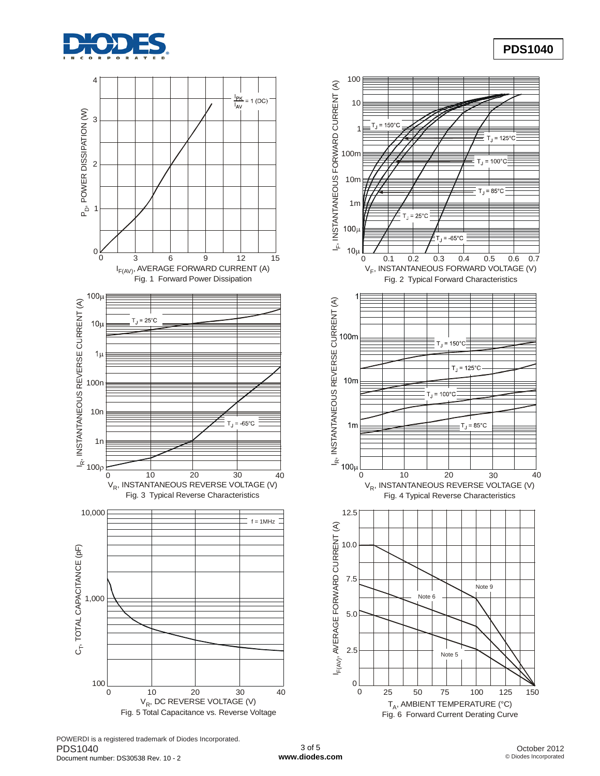





POWERDI is a registered trademark of Diodes Incorporated. PDS1040 Document number: DS30538 Rev. 10 - 2

**PDS1040**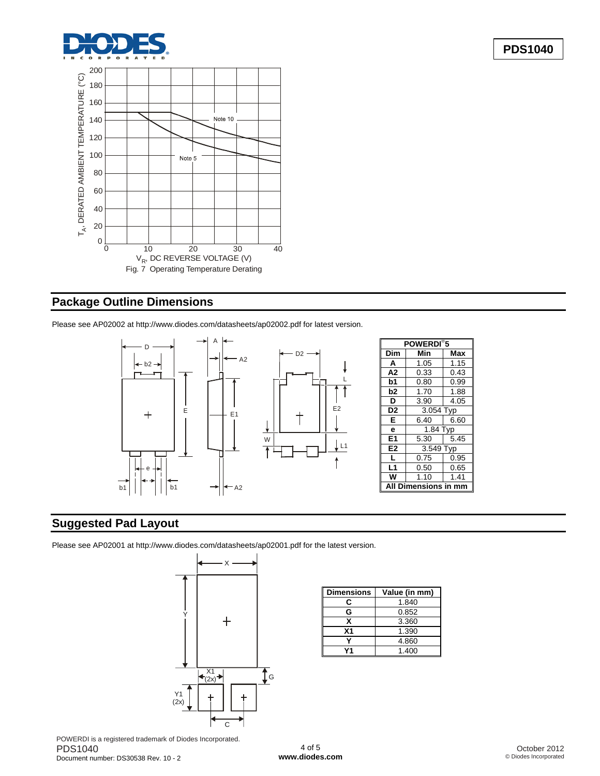



## **Package Outline Dimensions**

Please see AP02002 at [http://www.diodes.com/datasheets/ap02002.pdf fo](http://www.diodes.com/datasheets/ap02002.pdf)r latest version.



## **Suggested Pad Layout**

Please see AP02001 at [http://www.diodes.com/datasheets/ap02001.pdf fo](http://www.diodes.com/datasheets/ap02001.pdf)r the latest version.



| <b>Dimensions</b> | Value (in mm) |
|-------------------|---------------|
| r.                | 1.840         |
| G                 | 0.852         |
| x                 | 3.360         |
| Χ1                | 1.390         |
|                   | 4.860         |
| 74                | 1.400         |